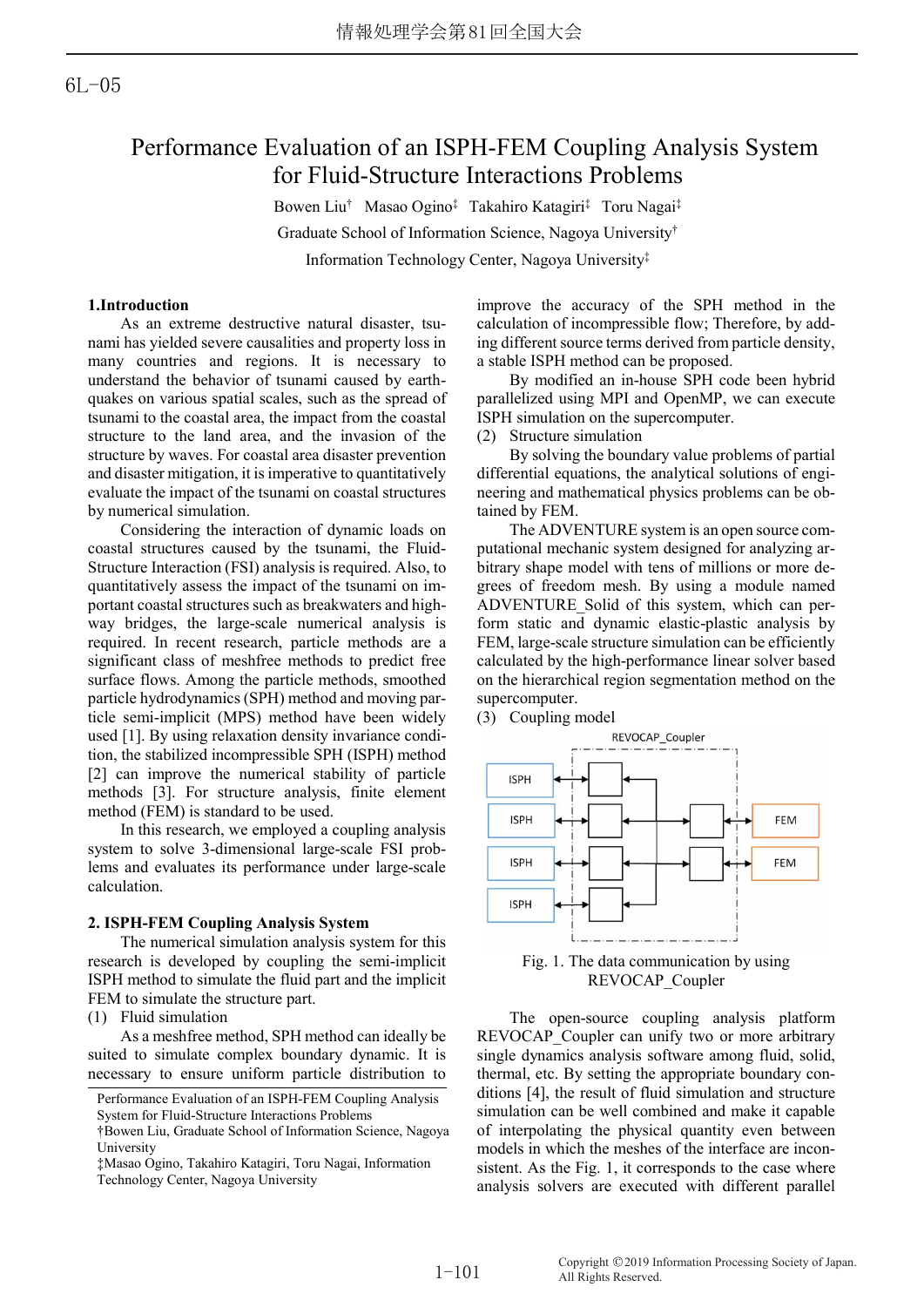# Performance Evaluation of an ISPH-FEM Coupling Analysis System for Fluid-Structure Interactions Problems

Bowen Liu† Masao Ogino‡ Takahiro Katagiri‡ Toru Nagai‡ Graduate School of Information Science, Nagoya University† Information Technology Center, Nagoya University‡

## 1.Introduction

As an extreme destructive natural disaster, tsunami has yielded severe causalities and property loss in many countries and regions. It is necessary to understand the behavior of tsunami caused by earthquakes on various spatial scales, such as the spread of tsunami to the coastal area, the impact from the coastal structure to the land area, and the invasion of the structure by waves. For coastal area disaster prevention and disaster mitigation, it is imperative to quantitatively evaluate the impact of the tsunami on coastal structures by numerical simulation.

Considering the interaction of dynamic loads on coastal structures caused by the tsunami, the Fluid-Structure Interaction (FSI) analysis is required. Also, to quantitatively assess the impact of the tsunami on important coastal structures such as breakwaters and highway bridges, the large-scale numerical analysis is required. In recent research, particle methods are a significant class of meshfree methods to predict free surface flows. Among the particle methods, smoothed particle hydrodynamics (SPH) method and moving particle semi-implicit (MPS) method have been widely used [1]. By using relaxation density invariance condition, the stabilized incompressible SPH (ISPH) method [2] can improve the numerical stability of particle methods [3]. For structure analysis, finite element method (FEM) is standard to be used.

In this research, we employed a coupling analysis system to solve 3-dimensional large-scale FSI problems and evaluates its performance under large-scale calculation.

## 2. ISPH-FEM Coupling Analysis System

The numerical simulation analysis system for this research is developed by coupling the semi-implicit ISPH method to simulate the fluid part and the implicit FEM to simulate the structure part.

(1) Fluid simulation

As a meshfree method, SPH method can ideally be suited to simulate complex boundary dynamic. It is necessary to ensure uniform particle distribution to improve the accuracy of the SPH method in the calculation of incompressible flow; Therefore, by adding different source terms derived from particle density, a stable ISPH method can be proposed.

By modified an in-house SPH code been hybrid parallelized using MPI and OpenMP, we can execute ISPH simulation on the supercomputer.

(2) Structure simulation

By solving the boundary value problems of partial differential equations, the analytical solutions of engineering and mathematical physics problems can be obtained by FEM.

The ADVENTURE system is an open source computational mechanic system designed for analyzing arbitrary shape model with tens of millions or more degrees of freedom mesh. By using a module named ADVENTURE\_Solid of this system, which can perform static and dynamic elastic-plastic analysis by FEM, large-scale structure simulation can be efficiently calculated by the high-performance linear solver based on the hierarchical region segmentation method on the supercomputer.

(3) Coupling model



Fig. 1. The data communication by using REVOCAP\_Coupler

The open-source coupling analysis platform REVOCAP Coupler can unify two or more arbitrary single dynamics analysis software among fluid, solid, thermal, etc. By setting the appropriate boundary conditions [4], the result of fluid simulation and structure simulation can be well combined and make it capable of interpolating the physical quantity even between models in which the meshes of the interface are inconsistent. As the Fig. 1, it corresponds to the case where analysis solvers are executed with different parallel

Performance Evaluation of an ISPH-FEM Coupling Analysis System for Fluid-Structure Interactions Problems

<sup>†</sup>Bowen Liu, Graduate School of Information Science, Nagoya University

<sup>‡</sup>Masao Ogino, Takahiro Katagiri, Toru Nagai, Information Technology Center, Nagoya University